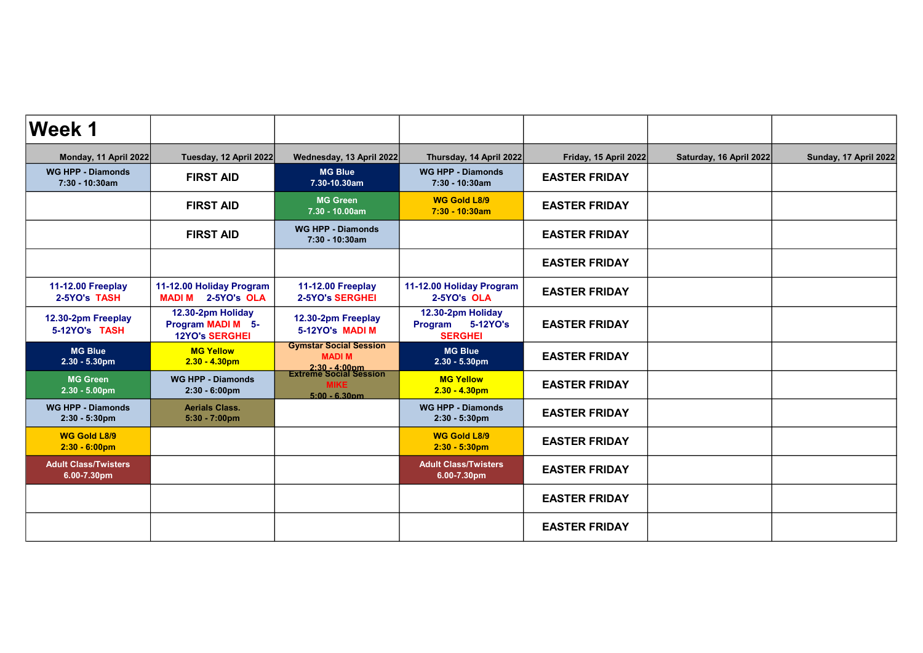| <b>Week 1</b>                                  |                                                                        |                                                                            |                                                                   |                       |                         |                       |
|------------------------------------------------|------------------------------------------------------------------------|----------------------------------------------------------------------------|-------------------------------------------------------------------|-----------------------|-------------------------|-----------------------|
| Monday, 11 April 2022                          | Tuesday, 12 April 2022                                                 | Wednesday, 13 April 2022                                                   | Thursday, 14 April 2022                                           | Friday, 15 April 2022 | Saturday, 16 April 2022 | Sunday, 17 April 2022 |
| <b>WG HPP - Diamonds</b><br>7:30 - 10:30am     | <b>FIRST AID</b>                                                       | <b>MG Blue</b><br>7.30-10.30am                                             | <b>WG HPP - Diamonds</b><br>7:30 - 10:30am                        | <b>EASTER FRIDAY</b>  |                         |                       |
|                                                | <b>FIRST AID</b>                                                       | <b>MG Green</b><br>7.30 - 10.00am                                          | <b>WG Gold L8/9</b><br>7:30 - 10:30am                             | <b>EASTER FRIDAY</b>  |                         |                       |
|                                                | <b>FIRST AID</b>                                                       | <b>WG HPP - Diamonds</b><br>7:30 - 10:30am                                 |                                                                   | <b>EASTER FRIDAY</b>  |                         |                       |
|                                                |                                                                        |                                                                            |                                                                   | <b>EASTER FRIDAY</b>  |                         |                       |
| <b>11-12.00 Freeplay</b><br>2-5YO's TASH       | 11-12.00 Holiday Program<br><b>MADI M 2-5YO's OLA</b>                  | <b>11-12.00 Freeplay</b><br><b>2-5YO's SERGHEI</b>                         | 11-12.00 Holiday Program<br>2-5YO's OLA                           | <b>EASTER FRIDAY</b>  |                         |                       |
| 12.30-2pm Freeplay<br>5-12YO's TASH            | 12.30-2pm Holiday<br><b>Program MADI M 5-</b><br><b>12YO's SERGHEI</b> | 12.30-2pm Freeplay<br>5-12YO's MADI M                                      | 12.30-2pm Holiday<br>5-12YO's<br><b>Program</b><br><b>SERGHEI</b> | <b>EASTER FRIDAY</b>  |                         |                       |
| <b>MG Blue</b><br>$2.30 - 5.30$ pm             | <b>MG Yellow</b><br>$2.30 - 4.30$ pm                                   | <b>Gymstar Social Session</b><br><b>MADIM</b>                              | <b>MG Blue</b><br>$2.30 - 5.30$ pm                                | <b>EASTER FRIDAY</b>  |                         |                       |
| <b>MG Green</b><br>$2.30 - 5.00 \text{pm}$     | <b>WG HPP - Diamonds</b><br>$2:30 - 6:00 \text{pm}$                    | 2:30 - 4:00pm<br>Extreme Social Session<br><b>MIKE</b><br>$5:00 - 6.30$ pm | <b>MG Yellow</b><br>$2.30 - 4.30pm$                               | <b>EASTER FRIDAY</b>  |                         |                       |
| <b>WG HPP - Diamonds</b><br>$2:30 - 5:30$ pm   | <b>Aerials Class.</b><br>$5:30 - 7:00 \text{pm}$                       |                                                                            | <b>WG HPP - Diamonds</b><br>2:30 - 5:30pm                         | <b>EASTER FRIDAY</b>  |                         |                       |
| <b>WG Gold L8/9</b><br>$2:30 - 6:00 \text{pm}$ |                                                                        |                                                                            | <b>WG Gold L8/9</b><br>$2:30 - 5:30$ pm                           | <b>EASTER FRIDAY</b>  |                         |                       |
| <b>Adult Class/Twisters</b><br>6.00-7.30pm     |                                                                        |                                                                            | <b>Adult Class/Twisters</b><br>6.00-7.30pm                        | <b>EASTER FRIDAY</b>  |                         |                       |
|                                                |                                                                        |                                                                            |                                                                   | <b>EASTER FRIDAY</b>  |                         |                       |
|                                                |                                                                        |                                                                            |                                                                   | <b>EASTER FRIDAY</b>  |                         |                       |